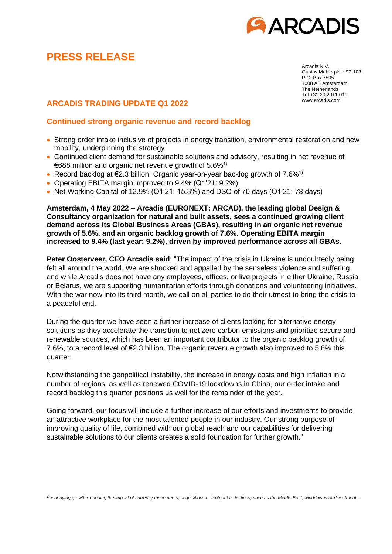

# **PRESS RELEASE**

Arcadis N.V. Gustav Mahlerplein 97-103 P.O. Box 7895 1008 AB Amsterdam The Netherlands Tel +31 20 2011 011 www.arcadis.com

## **ARCADIS TRADING UPDATE Q1 2022**

#### **Continued strong organic revenue and record backlog**

- Strong order intake inclusive of projects in energy transition, environmental restoration and new mobility, underpinning the strategy
- Continued client demand for sustainable solutions and advisory, resulting in net revenue of €688 million and organic net revenue growth of  $5.6\%$ <sup>1)</sup>
- Record backlog at €2.3 billion. Organic year-on-year backlog growth of 7.6%1)
- Operating EBITA margin improved to 9.4% (Q1'21: 9.2%)
- Net Working Capital of 12.9% (Q1'21: 15.3%) and DSO of 70 days (Q1'21: 78 days)

**Amsterdam, 4 May 2022 – Arcadis (EURONEXT: ARCAD), the leading global Design & Consultancy organization for natural and built assets, sees a continued growing client demand across its Global Business Areas (GBAs), resulting in an organic net revenue growth of 5.6%, and an organic backlog growth of 7.6%. Operating EBITA margin increased to 9.4% (last year: 9.2%), driven by improved performance across all GBAs.**

**Peter Oosterveer, CEO Arcadis said**: "The impact of the crisis in Ukraine is undoubtedly being felt all around the world. We are shocked and appalled by the senseless violence and suffering, and while Arcadis does not have any employees, offices, or live projects in either Ukraine, Russia or Belarus, we are supporting humanitarian efforts through donations and volunteering initiatives. With the war now into its third month, we call on all parties to do their utmost to bring the crisis to a peaceful end.

During the quarter we have seen a further increase of clients looking for alternative energy solutions as they accelerate the transition to net zero carbon emissions and prioritize secure and renewable sources, which has been an important contributor to the organic backlog growth of 7.6%, to a record level of €2.3 billion. The organic revenue growth also improved to 5.6% this quarter.

Notwithstanding the geopolitical instability, the increase in energy costs and high inflation in a number of regions, as well as renewed COVID-19 lockdowns in China, our order intake and record backlog this quarter positions us well for the remainder of the year.

Going forward, our focus will include a further increase of our efforts and investments to provide an attractive workplace for the most talented people in our industry. Our strong purpose of improving quality of life, combined with our global reach and our capabilities for delivering sustainable solutions to our clients creates a solid foundation for further growth."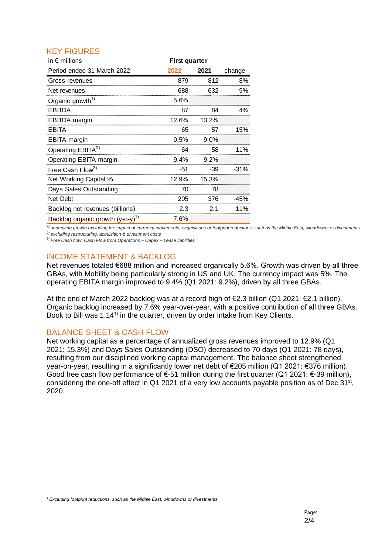#### KEY FIGURES

| in $\epsilon$ millions                       | <b>First quarter</b> |       |        |
|----------------------------------------------|----------------------|-------|--------|
| Period ended 31 March 2022                   | 2022                 | 2021  | change |
| Gross revenues                               | 879                  | 812   | 8%     |
| Net revenues                                 | 688                  | 632   | 9%     |
| Organic growth <sup>1)</sup>                 | 5.6%                 |       |        |
| <b>EBITDA</b>                                | 87                   | 84    | 4%     |
| <b>EBITDA</b> margin                         | 12.6%                | 13.2% |        |
| <b>EBITA</b>                                 | 65                   | 57    | 15%    |
| <b>EBITA</b> margin                          | 9.5%                 | 9.0%  |        |
| Operating EBITA <sup>2)</sup>                | 64                   | 58    | 11%    |
| Operating EBITA margin                       | 9.4%                 | 9.2%  |        |
| Free Cash Flow <sup>3)</sup>                 | $-51$                | $-39$ | $-31%$ |
| Net Working Capital %                        | 12.9%                | 15.3% |        |
| Days Sales Outstanding                       | 70                   | 78    |        |
| Net Debt                                     | 205                  | 376   | $-45%$ |
| Backlog net revenues (billions)              | 2.3                  | 2.1   | 11%    |
| Backlog organic growth (y-o-y) <sup>1)</sup> | 7.6%                 |       |        |

*1) underlying growth excluding the impact of currency movements, acquisitions or footprint reductions, such as the Middle East, winddowns or divestments 2) excluding restructuring, acquisition & divestment costs*

*3) Free Cash flow: Cash Flow from Operations – Capex – Lease liabilities*

# INCOME STATEMENT & BACKLOG

Net revenues totaled €688 million and increased organically 5.6%. Growth was driven by all three GBAs, with Mobility being particularly strong in US and UK. The currency impact was 5%. The operating EBITA margin improved to 9.4% (Q1 2021: 9.2%), driven by all three GBAs.

At the end of March 2022 backlog was at a record high of €2.3 billion (Q1 2021: €2.1 billion). Organic backlog increased by 7.6% year-over-year, with a positive contribution of all three GBAs. Book to Bill was 1.14<sup>1)</sup> in the quarter, driven by order intake from Key Clients.

## BALANCE SHEET & CASH FLOW

Net working capital as a percentage of annualized gross revenues improved to 12.9% (Q1 2021: 15.3%) and Days Sales Outstanding (DSO) decreased to 70 days (Q1 2021: 78 days), resulting from our disciplined working capital management. The balance sheet strengthened year-on-year, resulting in a significantly lower net debt of €205 million (Q1 2021: €376 million). Good free cash flow performance of  $\epsilon$ -51 million during the first quarter (Q1 2021:  $\epsilon$ -39 million), considering the one-off effect in Q1 2021 of a very low accounts payable position as of Dec 31<sup>st</sup>, 2020.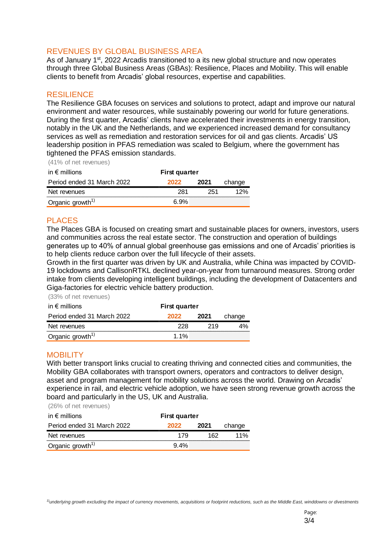## REVENUES BY GLOBAL BUSINESS AREA

As of January 1<sup>st</sup>, 2022 Arcadis transitioned to a its new global structure and now operates through three Global Business Areas (GBAs): Resilience, Places and Mobility. This will enable clients to benefit from Arcadis' global resources, expertise and capabilities.

#### RESILIENCE

The Resilience GBA focuses on services and solutions to protect, adapt and improve our natural environment and water resources, while sustainably powering our world for future generations. During the first quarter, Arcadis' clients have accelerated their investments in energy transition, notably in the UK and the Netherlands, and we experienced increased demand for consultancy services as well as remediation and restoration services for oil and gas clients. Arcadis' US leadership position in PFAS remediation was scaled to Belgium, where the government has tightened the PFAS emission standards.

(41% of net revenues)

| in $\epsilon$ millions       | First quarter |      |        |
|------------------------------|---------------|------|--------|
| Period ended 31 March 2022   | 2022          | 2021 | change |
| Net revenues                 | 281           | 251  | 12%    |
| Organic growth <sup>1)</sup> | <u> በ ዓ%</u>  |      |        |

## PLACES.

The Places GBA is focused on creating smart and sustainable places for owners, investors, users and communities across the real estate sector. The construction and operation of buildings generates up to 40% of annual global greenhouse gas emissions and one of Arcadis' priorities is to help clients reduce carbon over the full lifecycle of their assets.

Growth in the first quarter was driven by UK and Australia, while China was impacted by COVID-19 lockdowns and CallisonRTKL declined year-on-year from turnaround measures. Strong order intake from clients developing intelligent buildings, including the development of Datacenters and Giga-factories for electric vehicle battery production.

(33% of net revenues)

| in $\epsilon$ millions       | <b>First quarter</b> |      |        |
|------------------------------|----------------------|------|--------|
| Period ended 31 March 2022   | 2022                 | 2021 | change |
| Net revenues                 | 228                  | 219  |        |
| Organic growth <sup>1)</sup> | 1 1%                 |      |        |

## **MOBILITY**

With better transport links crucial to creating thriving and connected cities and communities, the Mobility GBA collaborates with transport owners, operators and contractors to deliver design, asset and program management for mobility solutions across the world. Drawing on Arcadis' experience in rail, and electric vehicle adoption, we have seen strong revenue growth across the board and particularly in the US, UK and Australia.

(26% of net revenues)

| in $\epsilon$ millions       | First quarter |      |        |
|------------------------------|---------------|------|--------|
| Period ended 31 March 2022   | 2022          | 2021 | change |
| Net revenues                 | 179           | 162. | $11\%$ |
| Organic growth <sup>1)</sup> | $9.4\%$       |      |        |

*1)underlying growth excluding the impact of currency movements, acquisitions or footprint reductions, such as the Middle East, winddowns or divestments*